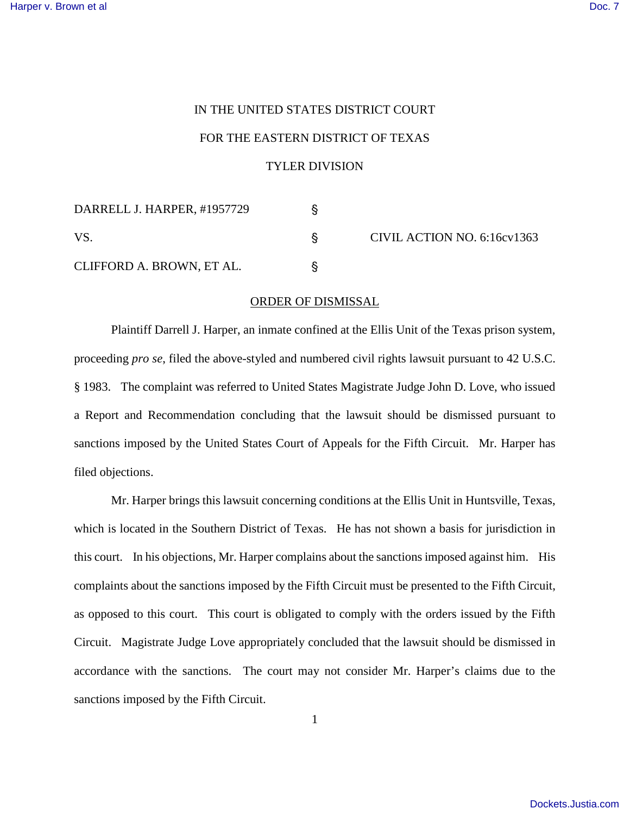## IN THE UNITED STATES DISTRICT COURT FOR THE EASTERN DISTRICT OF TEXAS

## TYLER DIVISION

| DARRELL J. HARPER, #1957729 |  | CIVIL ACTION NO. 6:16cv1363 |
|-----------------------------|--|-----------------------------|
| VS.                         |  |                             |
| CLIFFORD A. BROWN, ET AL.   |  |                             |

## ORDER OF DISMISSAL

Plaintiff Darrell J. Harper, an inmate confined at the Ellis Unit of the Texas prison system, proceeding *pro se*, filed the above-styled and numbered civil rights lawsuit pursuant to 42 U.S.C. § 1983. The complaint was referred to United States Magistrate Judge John D. Love, who issued a Report and Recommendation concluding that the lawsuit should be dismissed pursuant to sanctions imposed by the United States Court of Appeals for the Fifth Circuit. Mr. Harper has filed objections.

Mr. Harper brings this lawsuit concerning conditions at the Ellis Unit in Huntsville, Texas, which is located in the Southern District of Texas. He has not shown a basis for jurisdiction in this court. In his objections, Mr. Harper complains about the sanctions imposed against him. His complaints about the sanctions imposed by the Fifth Circuit must be presented to the Fifth Circuit, as opposed to this court. This court is obligated to comply with the orders issued by the Fifth Circuit. Magistrate Judge Love appropriately concluded that the lawsuit should be dismissed in accordance with the sanctions. The court may not consider Mr. Harper's claims due to the sanctions imposed by the Fifth Circuit.